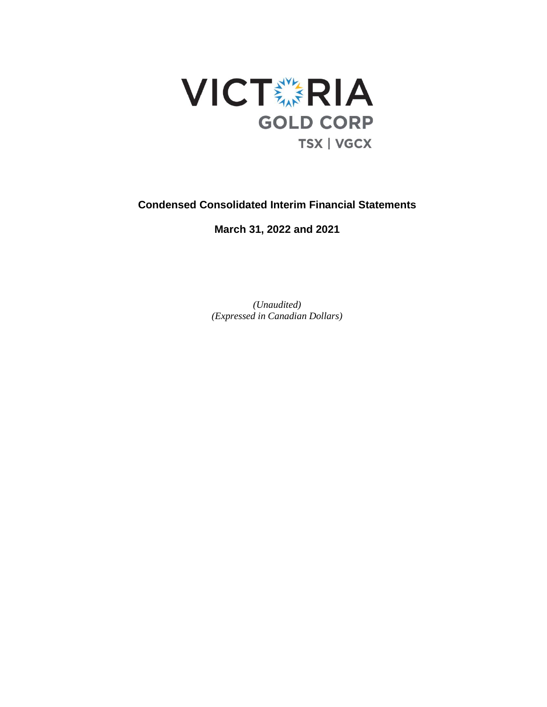

# **Condensed Consolidated Interim Financial Statements**

**March 31, 2022 and 2021**

*(Unaudited) (Expressed in Canadian Dollars)*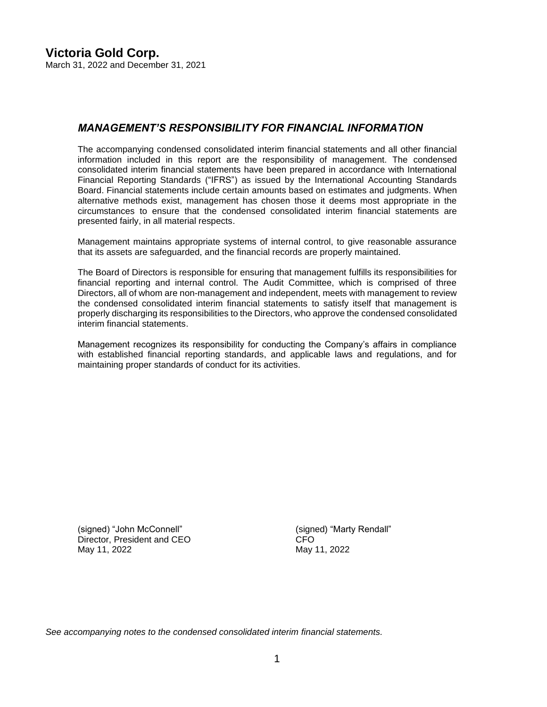# *MANAGEMENT'S RESPONSIBILITY FOR FINANCIAL INFORMATION*

The accompanying condensed consolidated interim financial statements and all other financial information included in this report are the responsibility of management. The condensed consolidated interim financial statements have been prepared in accordance with International Financial Reporting Standards ("IFRS") as issued by the International Accounting Standards Board. Financial statements include certain amounts based on estimates and judgments. When alternative methods exist, management has chosen those it deems most appropriate in the circumstances to ensure that the condensed consolidated interim financial statements are presented fairly, in all material respects.

Management maintains appropriate systems of internal control, to give reasonable assurance that its assets are safeguarded, and the financial records are properly maintained.

The Board of Directors is responsible for ensuring that management fulfills its responsibilities for financial reporting and internal control. The Audit Committee, which is comprised of three Directors, all of whom are non-management and independent, meets with management to review the condensed consolidated interim financial statements to satisfy itself that management is properly discharging its responsibilities to the Directors, who approve the condensed consolidated interim financial statements.

Management recognizes its responsibility for conducting the Company's affairs in compliance with established financial reporting standards, and applicable laws and regulations, and for maintaining proper standards of conduct for its activities.

(signed) "John McConnell" (signed) "Marty Rendall" Director, President and CEO CFO May 11, 2022 **May 11, 2022** May 11, 2022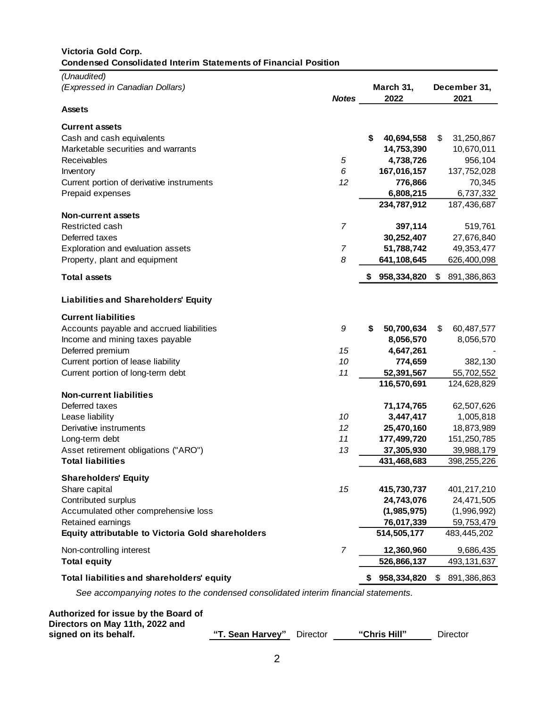# **Victoria Gold Corp. Condensed Consolidated Interim Statements of Financial Position**

| (Unaudited)<br>(Expressed in Canadian Dollars)                                    | <b>Notes</b>   | March 31,<br>2022 |    | December 31,<br>2021 |
|-----------------------------------------------------------------------------------|----------------|-------------------|----|----------------------|
| <b>Assets</b>                                                                     |                |                   |    |                      |
| <b>Current assets</b>                                                             |                |                   |    |                      |
| Cash and cash equivalents                                                         |                | \$<br>40,694,558  | \$ | 31,250,867           |
| Marketable securities and warrants                                                |                | 14,753,390        |    | 10,670,011           |
| Receivables                                                                       | 5              | 4,738,726         |    | 956,104              |
| Inventory                                                                         | 6              | 167,016,157       |    | 137,752,028          |
| Current portion of derivative instruments                                         | 12             | 776,866           |    | 70,345               |
| Prepaid expenses                                                                  |                | 6,808,215         |    | 6,737,332            |
|                                                                                   |                | 234,787,912       |    | 187,436,687          |
| <b>Non-current assets</b>                                                         |                |                   |    |                      |
| Restricted cash                                                                   | $\overline{7}$ | 397,114           |    | 519,761              |
| Deferred taxes                                                                    |                | 30,252,407        |    | 27,676,840           |
| Exploration and evaluation assets                                                 | 7              | 51,788,742        |    | 49, 353, 477         |
| Property, plant and equipment                                                     | 8              | 641,108,645       |    | 626,400,098          |
| <b>Total assets</b>                                                               |                | 958,334,820       | \$ | 891,386,863          |
| <b>Liabilities and Shareholders' Equity</b>                                       |                |                   |    |                      |
| <b>Current liabilities</b>                                                        |                |                   |    |                      |
| Accounts payable and accrued liabilities                                          | 9              | \$<br>50,700,634  | \$ | 60,487,577           |
| Income and mining taxes payable                                                   |                | 8,056,570         |    | 8,056,570            |
| Deferred premium                                                                  | 15             | 4,647,261         |    |                      |
| Current portion of lease liability                                                | 10             | 774,659           |    | 382,130              |
| Current portion of long-term debt                                                 | 11             | 52,391,567        |    | 55,702,552           |
|                                                                                   |                | 116,570,691       |    | 124,628,829          |
| <b>Non-current liabilities</b>                                                    |                |                   |    |                      |
| Deferred taxes                                                                    |                | 71,174,765        |    | 62,507,626           |
| Lease liability                                                                   | 10             | 3,447,417         |    | 1,005,818            |
| Derivative instruments                                                            | 12             | 25,470,160        |    | 18,873,989           |
| Long-term debt                                                                    | 11             | 177,499,720       |    | 151,250,785          |
| Asset retirement obligations ("ARO")                                              | 13             | 37,305,930        |    | 39,988,179           |
| <b>Total liabilities</b>                                                          |                | 431,468,683       |    | 398,255,226          |
| <b>Shareholders' Equity</b>                                                       |                |                   |    |                      |
| Share capital                                                                     | 15             | 415,730,737       |    | 401,217,210          |
| Contributed surplus                                                               |                | 24,743,076        |    | 24,471,505           |
| Accumulated other comprehensive loss                                              |                | (1,985,975)       |    | (1,996,992)          |
| Retained earnings                                                                 |                | 76,017,339        |    | 59,753,479           |
| Equity attributable to Victoria Gold shareholders                                 |                | 514,505,177       |    | 483,445,202          |
| Non-controlling interest                                                          | 7              | 12,360,960        |    | 9,686,435            |
| <b>Total equity</b>                                                               |                | 526,866,137       |    | 493, 131, 637        |
| Total liabilities and shareholders' equity                                        |                | 958,334,820       | S. | 891,386,863          |
| See accompanying notes to the condensed consolidated interim financial statements |                |                   |    |                      |

| Authorized for issue by the Board of<br>Directors on May 11th, 2022 and |                           |              |          |
|-------------------------------------------------------------------------|---------------------------|--------------|----------|
| signed on its behalf.                                                   | "T. Sean Harvey" Director | "Chris Hill" | Director |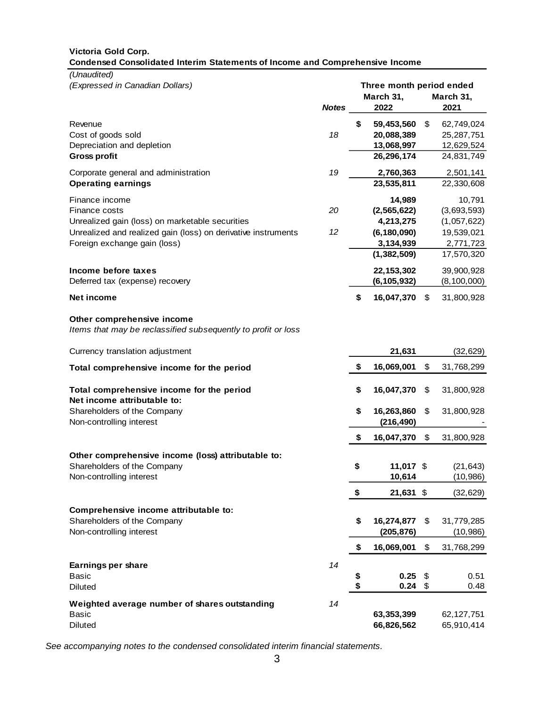### **Victoria Gold Corp. Condensed Consolidated Interim Statements of Income and Comprehensive Income**

*(Unaudited)*

| (Expressed in Canadian Dollars)                               |              | Three month period ended |               |    |               |  |  |
|---------------------------------------------------------------|--------------|--------------------------|---------------|----|---------------|--|--|
|                                                               |              |                          | March 31,     |    | March 31,     |  |  |
|                                                               | <b>Notes</b> |                          | 2022          |    | 2021          |  |  |
| Revenue                                                       |              | \$                       | 59,453,560    | \$ | 62,749,024    |  |  |
| Cost of goods sold                                            | 18           |                          | 20,088,389    |    | 25,287,751    |  |  |
| Depreciation and depletion                                    |              |                          | 13,068,997    |    | 12,629,524    |  |  |
| <b>Gross profit</b>                                           |              |                          | 26,296,174    |    | 24,831,749    |  |  |
|                                                               |              |                          |               |    |               |  |  |
| Corporate general and administration                          | 19           |                          | 2,760,363     |    | 2,501,141     |  |  |
| <b>Operating earnings</b>                                     |              |                          | 23,535,811    |    | 22,330,608    |  |  |
| Finance income                                                |              |                          | 14,989        |    | 10,791        |  |  |
| Finance costs                                                 | 20           |                          | (2, 565, 622) |    | (3,693,593)   |  |  |
| Unrealized gain (loss) on marketable securities               |              |                          | 4,213,275     |    | (1,057,622)   |  |  |
| Unrealized and realized gain (loss) on derivative instruments | 12           |                          | (6, 180, 090) |    | 19,539,021    |  |  |
| Foreign exchange gain (loss)                                  |              |                          | 3,134,939     |    | 2,771,723     |  |  |
|                                                               |              |                          | (1, 382, 509) |    | 17,570,320    |  |  |
| Income before taxes                                           |              |                          | 22, 153, 302  |    | 39,900,928    |  |  |
| Deferred tax (expense) recovery                               |              |                          | (6, 105, 932) |    | (8, 100, 000) |  |  |
| <b>Net income</b>                                             |              | \$                       | 16,047,370    | \$ | 31,800,928    |  |  |
|                                                               |              |                          |               |    |               |  |  |
| Other comprehensive income                                    |              |                          |               |    |               |  |  |
| Items that may be reclassified subsequently to profit or loss |              |                          |               |    |               |  |  |
| Currency translation adjustment                               |              |                          | 21,631        |    | (32, 629)     |  |  |
| Total comprehensive income for the period                     |              | \$                       | 16,069,001    | \$ | 31,768,299    |  |  |
|                                                               |              |                          |               |    |               |  |  |
| Total comprehensive income for the period                     |              | \$                       | 16,047,370    | \$ | 31,800,928    |  |  |
| Net income attributable to:                                   |              |                          |               |    |               |  |  |
| Shareholders of the Company                                   |              | \$                       | 16,263,860    | \$ | 31,800,928    |  |  |
| Non-controlling interest                                      |              |                          | (216, 490)    |    |               |  |  |
|                                                               |              | \$                       | 16,047,370    | \$ | 31,800,928    |  |  |
|                                                               |              |                          |               |    |               |  |  |
| Other comprehensive income (loss) attributable to:            |              |                          |               |    |               |  |  |
| Shareholders of the Company                                   |              | \$                       | 11,017 \$     |    | (21, 643)     |  |  |
| Non-controlling interest                                      |              |                          | 10,614        |    | (10, 986)     |  |  |
|                                                               |              | \$                       | 21,631 \$     |    | (32, 629)     |  |  |
| Comprehensive income attributable to:                         |              |                          |               |    |               |  |  |
| Shareholders of the Company                                   |              | \$                       | 16,274,877    | \$ | 31,779,285    |  |  |
| Non-controlling interest                                      |              |                          | (205, 876)    |    | (10, 986)     |  |  |
|                                                               |              |                          |               |    |               |  |  |
|                                                               |              | \$                       | 16,069,001    | \$ | 31,768,299    |  |  |
| Earnings per share                                            | 14           |                          |               |    |               |  |  |
| <b>Basic</b>                                                  |              | \$                       | 0.25          | \$ | 0.51          |  |  |
| <b>Diluted</b>                                                |              | \$                       | $0.24$ \$     |    | 0.48          |  |  |
| Weighted average number of shares outstanding                 | 14           |                          |               |    |               |  |  |
| <b>Basic</b>                                                  |              |                          | 63,353,399    |    | 62, 127, 751  |  |  |
| Diluted                                                       |              |                          | 66,826,562    |    | 65,910,414    |  |  |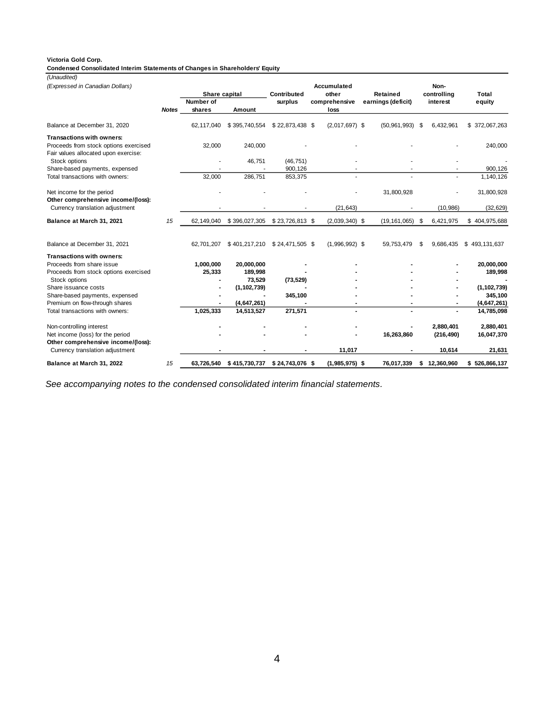#### **Victoria Gold Corp.**

**Condensed Consolidated Interim Statements of Changes in Shareholders' Equity**

*(Unaudited)*

*(Expressed in Canadian Dollars)* **Contributed Accumulated other Retained Total controlling** *Notes* **Number of shares Amount surplus comprehensive loss earnings (deficit)** interest equity Balance at December 31, 2020 62,117,040 \$ 395,740,554 \$ 22,873,438 \$ (2,017,697) \$ (50,961,993) \$ 6,432,961 \$ 372,067,263 **Transactions with owners:** Proceeds from stock options exercised 32,000 240,000 - - - - - - - - - - - - - - 240,000 Fair values allocated upon exercise: Stock options - 46,751 (46,751) - - - - -Share-based payments, expensed a control of the control of the state of the state of the state of the state of the state of the state of the state of the state of the state of the state of the state of the state of the sta Total transactions with owners: Net income for the period and the series of the period of the period of the period of the period of the series of the series of the series of the series of the series of the series of the series of the series of the series **Other comprehensive income/(loss):** Currency translation adjustment (21,643) (32,629) (32,629) (32,629) **Balance at March 31, 2021** *15* 62,149,040 \$ 396,027,305 \$ 23,726,813 \$ (2,039,340) \$ (19,161,065) \$ 6,421,975 \$ 404,975,688 Balance at December 31, 2021 62,701,207 \$ 401,217,210 \$ 24,471,505 \$ (1,996,992) \$ 59,753,479 \$ 9,686,435 \$ 493,131,637 **Transactions with owners:** Proceeds from share issue **1,000,000 20,000,000 - - - - 20,000,000**  Proceeds from stock options exercised **25,333 189,998 - - - - 189,998**  Stock options **- 73,529 (73,529) - - - -**  Share issuance costs **- (1,102,739) - - - - (1,102,739)** Share-based payments, expensed **1998 -** 1945,100 **- 1945,100 - 1946,100 - 1946,100 - 1946,1100 - 1946,47,261**<br>
Premium on flow-through shares **1946,000 - 1946,647,261 - 1946,47,261 -** 1946,647,261 Premium on flow-through shares<br>
Total transactions with owners: **1,025,333 14,513,527 271,571 1 1,025,333 14,513,527 271,571 1** Total transactions with owners: Non-controlling interest **1,880,401** 2,880,401 2,880,401 2,880,401 2,880,401 2,880,401 2,880,401 2,880,401 2,880,401 2,880,401 2,880,401 2,880,401 2,880,401 2,880,401 2,880,401 2,880,401 2,880,401 2,880,401 2,880,401 2,880 Net income (loss) for the period **Fig. 2016 - 16, 2016** (2016) **16, 2016 16, 2016 16, 2016 16, 2016 16, 2016 16, 2016 16, 2016 16, 2016 16, 2016 16, 2016 16, 2016 16, 2016 16, 2016 16, 2016 16 Other comprehensive income/(loss):** Currency translation adjustment **- - - 11,017 - 10,614 21,631 Balance at March 31, 2022** *15* **63,726,540 \$ 415,730,737 \$ 24,743,076 \$ (1,985,975) \$ 76,017,339 \$ 12,360,960 \$ 526,866,137 Share capital Noninterest**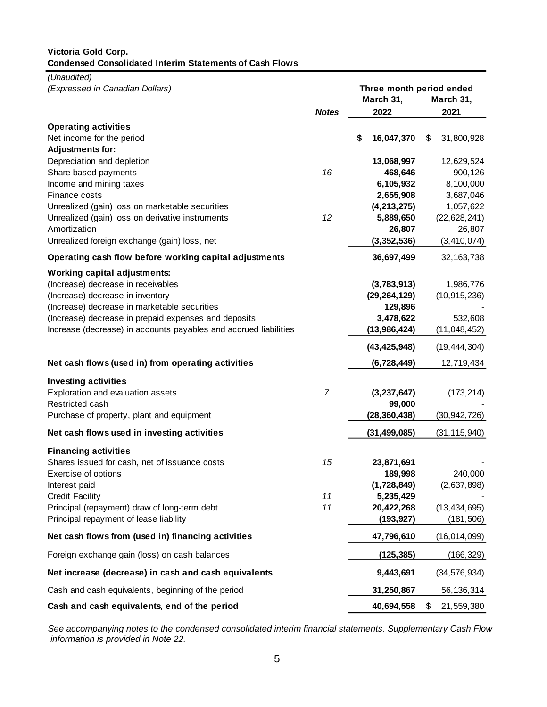### **Victoria Gold Corp. Condensed Consolidated Interim Statements of Cash Flows**

*(Unaudited)*

| (Expressed in Canadian Dollars)                                                     |                | March 31, |                |    | Three month period ended<br>March 31, |  |  |
|-------------------------------------------------------------------------------------|----------------|-----------|----------------|----|---------------------------------------|--|--|
|                                                                                     | <b>Notes</b>   |           | 2022           |    | 2021                                  |  |  |
| <b>Operating activities</b><br>Net income for the period<br><b>Adjustments for:</b> |                | \$        | 16,047,370     | \$ | 31,800,928                            |  |  |
| Depreciation and depletion                                                          |                |           | 13,068,997     |    | 12,629,524                            |  |  |
| Share-based payments                                                                | 16             |           | 468,646        |    | 900,126                               |  |  |
| Income and mining taxes                                                             |                |           | 6,105,932      |    | 8,100,000                             |  |  |
| Finance costs                                                                       |                |           | 2,655,908      |    | 3,687,046                             |  |  |
| Unrealized (gain) loss on marketable securities                                     |                |           | (4, 213, 275)  |    | 1,057,622                             |  |  |
| Unrealized (gain) loss on derivative instruments                                    | 12             |           | 5,889,650      |    | (22, 628, 241)                        |  |  |
| Amortization                                                                        |                |           | 26,807         |    | 26,807                                |  |  |
| Unrealized foreign exchange (gain) loss, net                                        |                |           | (3,352,536)    |    | (3, 410, 074)                         |  |  |
| Operating cash flow before working capital adjustments                              |                |           | 36,697,499     |    | 32, 163, 738                          |  |  |
| <b>Working capital adjustments:</b>                                                 |                |           |                |    |                                       |  |  |
| (Increase) decrease in receivables                                                  |                |           | (3,783,913)    |    | 1,986,776                             |  |  |
| (Increase) decrease in inventory                                                    |                |           | (29, 264, 129) |    | (10, 915, 236)                        |  |  |
| (Increase) decrease in marketable securities                                        |                |           | 129,896        |    |                                       |  |  |
| (Increase) decrease in prepaid expenses and deposits                                |                |           | 3,478,622      |    | 532,608                               |  |  |
| Increase (decrease) in accounts payables and accrued liabilities                    |                |           | (13,986,424)   |    | (11,048,452)                          |  |  |
|                                                                                     |                |           | (43, 425, 948) |    | (19, 444, 304)                        |  |  |
| Net cash flows (used in) from operating activities                                  |                |           | (6,728,449)    |    | 12,719,434                            |  |  |
| <b>Investing activities</b>                                                         |                |           |                |    |                                       |  |  |
| Exploration and evaluation assets                                                   | $\overline{7}$ |           | (3, 237, 647)  |    | (173, 214)                            |  |  |
| Restricted cash                                                                     |                |           | 99,000         |    |                                       |  |  |
| Purchase of property, plant and equipment                                           |                |           | (28, 360, 438) |    | (30, 942, 726)                        |  |  |
| Net cash flows used in investing activities                                         |                |           | (31, 499, 085) |    | (31, 115, 940)                        |  |  |
| <b>Financing activities</b>                                                         |                |           |                |    |                                       |  |  |
| Shares issued for cash, net of issuance costs                                       | 15             |           | 23,871,691     |    |                                       |  |  |
| Exercise of options                                                                 |                |           | 189,998        |    | 240,000                               |  |  |
| Interest paid                                                                       |                |           | (1,728,849)    |    | (2,637,898)                           |  |  |
| <b>Credit Facility</b>                                                              | 11             |           | 5,235,429      |    |                                       |  |  |
| Principal (repayment) draw of long-term debt                                        | 11             |           | 20,422,268     |    | (13, 434, 695)                        |  |  |
| Principal repayment of lease liability                                              |                |           | (193, 927)     |    | (181, 506)                            |  |  |
| Net cash flows from (used in) financing activities                                  |                |           | 47,796,610     |    | (16,014,099)                          |  |  |
| Foreign exchange gain (loss) on cash balances                                       |                |           | (125, 385)     |    | (166, 329)                            |  |  |
| Net increase (decrease) in cash and cash equivalents                                |                |           | 9,443,691      |    | (34, 576, 934)                        |  |  |
| Cash and cash equivalents, beginning of the period                                  |                |           | 31,250,867     |    | 56,136,314                            |  |  |
| Cash and cash equivalents, end of the period                                        |                |           | 40,694,558     | \$ | 21,559,380                            |  |  |

*See accompanying notes to the condensed consolidated interim financial statements. Supplementary Cash Flow information is provided in Note 22.*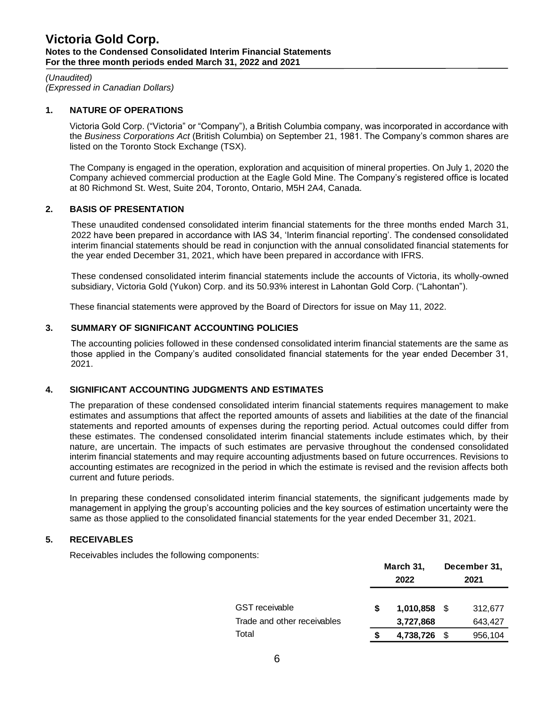*(Unaudited) (Expressed in Canadian Dollars)*

### **1. NATURE OF OPERATIONS**

Victoria Gold Corp. ("Victoria" or "Company"), a British Columbia company, was incorporated in accordance with the *Business Corporations Act* (British Columbia) on September 21, 1981. The Company's common shares are listed on the Toronto Stock Exchange (TSX).

The Company is engaged in the operation, exploration and acquisition of mineral properties. On July 1, 2020 the Company achieved commercial production at the Eagle Gold Mine. The Company's registered office is located at 80 Richmond St. West, Suite 204, Toronto, Ontario, M5H 2A4, Canada.

### **2. BASIS OF PRESENTATION**

These unaudited condensed consolidated interim financial statements for the three months ended March 31, 2022 have been prepared in accordance with IAS 34, 'Interim financial reporting'. The condensed consolidated interim financial statements should be read in conjunction with the annual consolidated financial statements for the year ended December 31, 2021, which have been prepared in accordance with IFRS.

These condensed consolidated interim financial statements include the accounts of Victoria, its wholly-owned subsidiary, Victoria Gold (Yukon) Corp. and its 50.93% interest in Lahontan Gold Corp. ("Lahontan").

These financial statements were approved by the Board of Directors for issue on May 11, 2022.

### **3. SUMMARY OF SIGNIFICANT ACCOUNTING POLICIES**

The accounting policies followed in these condensed consolidated interim financial statements are the same as those applied in the Company's audited consolidated financial statements for the year ended December 31, 2021.

# **4. SIGNIFICANT ACCOUNTING JUDGMENTS AND ESTIMATES**

The preparation of these condensed consolidated interim financial statements requires management to make estimates and assumptions that affect the reported amounts of assets and liabilities at the date of the financial statements and reported amounts of expenses during the reporting period. Actual outcomes could differ from these estimates. The condensed consolidated interim financial statements include estimates which, by their nature, are uncertain. The impacts of such estimates are pervasive throughout the condensed consolidated interim financial statements and may require accounting adjustments based on future occurrences. Revisions to accounting estimates are recognized in the period in which the estimate is revised and the revision affects both current and future periods.

In preparing these condensed consolidated interim financial statements, the significant judgements made by management in applying the group's accounting policies and the key sources of estimation uncertainty were the same as those applied to the consolidated financial statements for the year ended December 31, 2021.

### **5. RECEIVABLES**

Receivables includes the following components:

|                             |   | March 31,<br>2022 |      | December 31,<br>2021 |
|-----------------------------|---|-------------------|------|----------------------|
| <b>GST</b> receivable       | S | $1,010,858$ \$    |      | 312,677              |
| Trade and other receivables |   | 3,727,868         |      | 643,427              |
| Total                       | S | 4,738,726         | - \$ | 956,104              |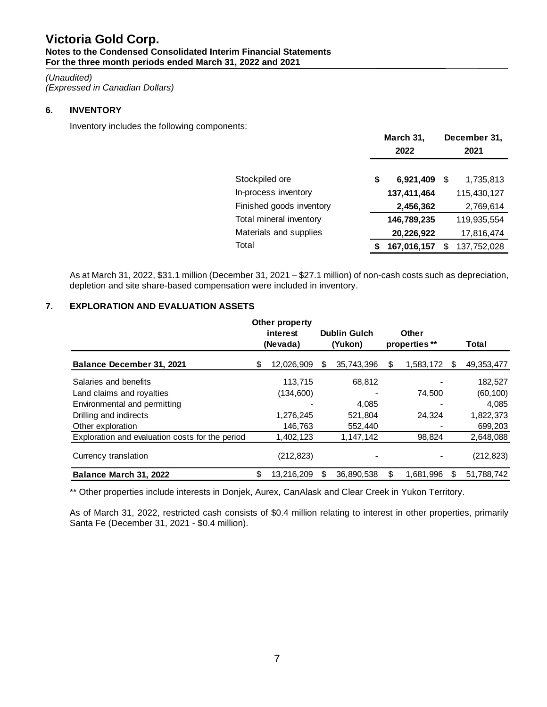# *(Unaudited)*

*(Expressed in Canadian Dollars)*

# **6. INVENTORY**

Inventory includes the following components:

| 2022        | December 31,<br>2021        |
|-------------|-----------------------------|
|             |                             |
|             | 1,735,813<br>- \$           |
| 137,411,464 | 115,430,127                 |
| 2,456,362   | 2,769,614                   |
| 146,789,235 | 119,935,554                 |
| 20,226,922  | 17,816,474                  |
| 167,016,157 | 137,752,028<br>S.           |
|             | March 31,<br>6,921,409<br>S |

As at March 31, 2022, \$31.1 million (December 31, 2021 – \$27.1 million) of non-cash costs such as depreciation, depletion and site share-based compensation were included in inventory.

# **7. EXPLORATION AND EVALUATION ASSETS**

|                                                 | <b>Other property</b><br>interest<br>(Nevada) |    | <b>Dublin Gulch</b><br>(Yukon) |    | <b>Other</b><br>properties ** |    | Total        |  |
|-------------------------------------------------|-----------------------------------------------|----|--------------------------------|----|-------------------------------|----|--------------|--|
| Balance December 31, 2021                       | \$<br>12,026,909                              | S  | 35,743,396                     | \$ | 1,583,172                     | S. | 49, 353, 477 |  |
| Salaries and benefits                           | 113.715                                       |    | 68,812                         |    |                               |    | 182,527      |  |
| Land claims and royalties                       | (134,600)                                     |    |                                |    | 74.500                        |    | (60, 100)    |  |
| Environmental and permitting                    |                                               |    | 4,085                          |    |                               |    | 4,085        |  |
| Drilling and indirects                          | 1,276,245                                     |    | 521,804                        |    | 24.324                        |    | 1,822,373    |  |
| Other exploration                               | 146.763                                       |    | 552,440                        |    |                               |    | 699,203      |  |
| Exploration and evaluation costs for the period | 1,402,123                                     |    | 1,147,142                      |    | 98.824                        |    | 2,648,088    |  |
| Currency translation                            | (212, 823)                                    |    |                                |    |                               |    | (212, 823)   |  |
| Balance March 31, 2022                          | \$<br>13.216.209                              | \$ | 36.890.538                     | \$ | 1.681.996                     | \$ | 51.788.742   |  |

\*\* Other properties include interests in Donjek, Aurex, CanAlask and Clear Creek in Yukon Territory.

As of March 31, 2022, restricted cash consists of \$0.4 million relating to interest in other properties, primarily Santa Fe (December 31, 2021 - \$0.4 million).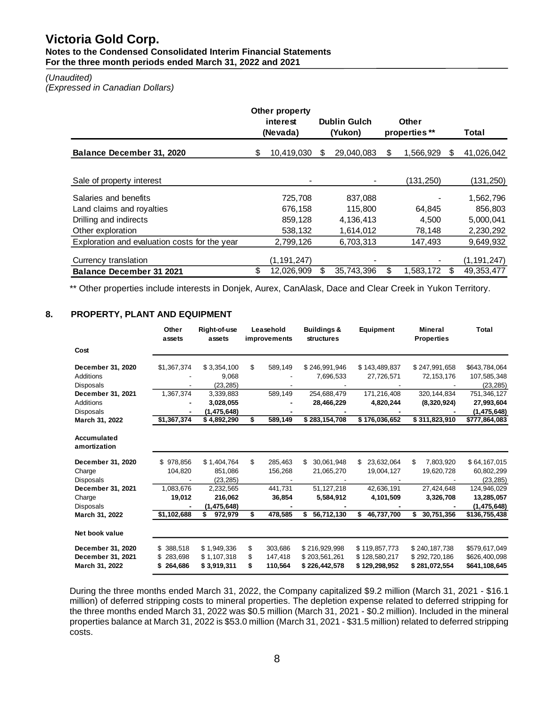#### *(Unaudited)*

*(Expressed in Canadian Dollars)*

|                                               |    | <b>Other property</b> |                     |            |                 |     |               |
|-----------------------------------------------|----|-----------------------|---------------------|------------|-----------------|-----|---------------|
|                                               |    | interest              | <b>Dublin Gulch</b> |            | Other           |     |               |
|                                               |    | (Nevada)              |                     | (Yukon)    | properties **   |     | Total         |
| <b>Balance December 31, 2020</b>              | S  | 10,419,030            | S                   | 29,040,083 | \$<br>1,566,929 | \$. | 41,026,042    |
|                                               |    |                       |                     |            |                 |     |               |
| Sale of property interest                     |    |                       |                     |            | (131,250)       |     | (131, 250)    |
| Salaries and benefits                         |    | 725,708               |                     | 837.088    |                 |     | 1,562,796     |
| Land claims and royalties                     |    | 676.158               |                     | 115,800    | 64.845          |     | 856,803       |
| Drilling and indirects                        |    | 859,128               |                     | 4,136,413  | 4,500           |     | 5,000,041     |
| Other exploration                             |    | 538,132               |                     | 1,614,012  | 78,148          |     | 2,230,292     |
| Exploration and evaluation costs for the year |    | 2,799,126             |                     | 6,703,313  | 147,493         |     | 9,649,932     |
|                                               |    |                       |                     |            |                 |     |               |
| Currency translation                          |    | (1, 191, 247)         |                     |            |                 |     | (1, 191, 247) |
| <b>Balance December 31 2021</b>               | \$ | 12,026,909            | S                   | 35.743.396 | \$<br>1,583,172 | S   | 49, 353, 477  |

\*\* Other properties include interests in Donjek, Aurex, CanAlask, Dace and Clear Creek in Yukon Territory.

### **8. PROPERTY, PLANT AND EQUIPMENT**

|                                       | Other<br>assets           | Right-of-use<br>assets     |          | Leasehold<br>improvements | <b>Buildings &amp;</b><br><b>structures</b> | Equipment                      | <b>Mineral</b><br><b>Properties</b> | <b>Total</b>                   |
|---------------------------------------|---------------------------|----------------------------|----------|---------------------------|---------------------------------------------|--------------------------------|-------------------------------------|--------------------------------|
| Cost                                  |                           |                            |          |                           |                                             |                                |                                     |                                |
| December 31, 2020                     | \$1,367,374               | \$3,354,100                | \$       | 589,149                   | \$246,991,946                               | \$143,489,837                  | \$247,991,658                       | \$643,784,064                  |
| <b>Additions</b><br><b>Disposals</b>  |                           | 9,068<br>(23, 285)         |          |                           | 7,696,533                                   | 27,726,571                     | 72, 153, 176                        | 107,585,348<br>(23, 285)       |
| December 31, 2021<br><b>Additions</b> | 1,367,374                 | 3,339,883                  |          | 589,149                   | 254,688,479                                 | 171,216,408                    | 320, 144, 834                       | 751,346,127                    |
| <b>Disposals</b>                      |                           | 3.028.055<br>(1, 475, 648) |          |                           | 28,466,229                                  | 4,820,244                      | (8,320,924)                         | 27,993,604<br>(1, 475, 648)    |
| March 31, 2022                        | \$1,367,374               | \$4,892,290                | \$       | 589,149                   | \$283,154,708                               | \$176,036,652                  | \$311,823,910                       | \$777,864,083                  |
| Accumulated<br>amortization           |                           |                            |          |                           |                                             |                                |                                     |                                |
| December 31, 2020                     | \$978.856                 | \$1,404,764                | \$       | 285,463                   | 30,061,948<br>\$                            | \$<br>23,632,064               | \$<br>7,803,920                     | \$64,167,015                   |
| Charge<br><b>Disposals</b>            | 104,820                   | 851,086<br>(23, 285)       |          | 156,268                   | 21,065,270                                  | 19,004,127                     | 19,620,728                          | 60,802,299<br>(23, 285)        |
| December 31, 2021<br>Charge           | 1,083,676<br>19,012       | 2,232,565<br>216,062       |          | 441.731<br>36,854         | 51.127.218<br>5,584,912                     | 42.636.191<br>4,101,509        | 27,424,648<br>3,326,708             | 124,946,029<br>13,285,057      |
| <b>Disposals</b>                      |                           | (1, 475, 648)              |          |                           |                                             |                                |                                     | (1, 475, 648)                  |
| March 31, 2022                        | \$1,102,688               | 972,979<br>S               | \$       | 478,585                   | 56,712,130<br>S                             | 46,737,700<br>\$               | 30,751,356<br>\$                    | \$136,755,438                  |
| Net book value                        |                           |                            |          |                           |                                             |                                |                                     |                                |
| December 31, 2020                     | \$388,518                 | \$1,949,336                | \$       | 303,686                   | \$216,929,998                               | \$119,857,773                  | \$240,187,738                       | \$579,617,049                  |
| December 31, 2021<br>March 31, 2022   | 283,698<br>\$.<br>264,686 | \$1,107,318<br>\$3,919,311 | \$<br>\$ | 147,418<br>110,564        | \$203,561,261<br>\$226,442,578              | \$128,580,217<br>\$129,298,952 | \$292,720,186<br>\$281,072,554      | \$626,400,098<br>\$641,108,645 |

During the three months ended March 31, 2022, the Company capitalized \$9.2 million (March 31, 2021 - \$16.1 million) of deferred stripping costs to mineral properties. The depletion expense related to deferred stripping for the three months ended March 31, 2022 was \$0.5 million (March 31, 2021 - \$0.2 million). Included in the mineral properties balance at March 31, 2022 is \$53.0 million (March 31, 2021 - \$31.5 million) related to deferred stripping costs.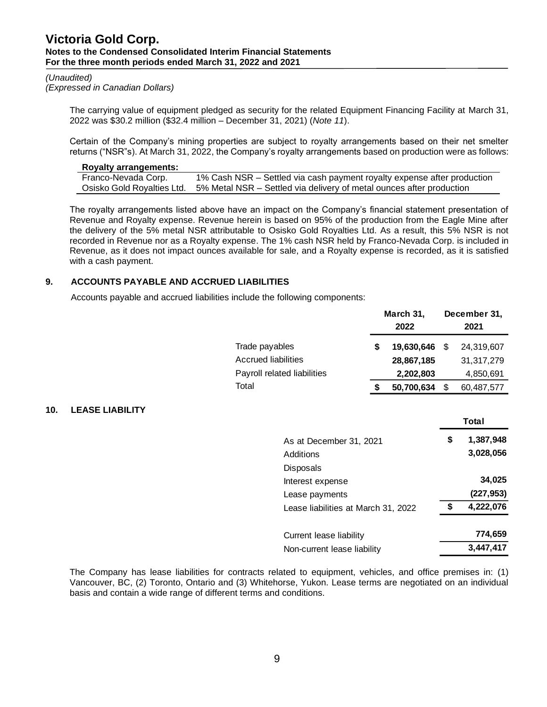#### *(Unaudited)*

*(Expressed in Canadian Dollars)*

**10. LEASE LIABILITY**

The carrying value of equipment pledged as security for the related Equipment Financing Facility at March 31, 2022 was \$30.2 million (\$32.4 million – December 31, 2021) (*Note 11*).

Certain of the Company's mining properties are subject to royalty arrangements based on their net smelter returns ("NSR"s). At March 31, 2022, the Company's royalty arrangements based on production were as follows:

### **Royalty arrangements:** Franco-Nevada Corp. 1% Cash NSR – Settled via cash payment royalty expense after production Osisko Gold Royalties Ltd. 5% Metal NSR – Settled via delivery of metal ounces after production

The royalty arrangements listed above have an impact on the Company's financial statement presentation of Revenue and Royalty expense. Revenue herein is based on 95% of the production from the Eagle Mine after the delivery of the 5% metal NSR attributable to Osisko Gold Royalties Ltd. As a result, this 5% NSR is not recorded in Revenue nor as a Royalty expense. The 1% cash NSR held by Franco-Nevada Corp. is included in Revenue, as it does not impact ounces available for sale, and a Royalty expense is recorded, as it is satisfied with a cash payment.

### **9. ACCOUNTS PAYABLE AND ACCRUED LIABILITIES**

Accounts payable and accrued liabilities include the following components:

|                                     | March 31,<br>2022 |     | December 31,<br>2021 |
|-------------------------------------|-------------------|-----|----------------------|
| Trade payables                      | \$<br>19,630,646  | \$. | 24,319,607           |
| Accrued liabilities                 | 28,867,185        |     | 31,317,279           |
| Payroll related liabilities         | 2,202,803         |     | 4,850,691            |
| Total                               | \$<br>50,700,634  | \$  | 60,487,577           |
|                                     |                   |     | Total                |
| As at December 31, 2021             |                   | \$  | 1,387,948            |
| <b>Additions</b>                    |                   |     | 3,028,056            |
| <b>Disposals</b>                    |                   |     |                      |
| Interest expense                    |                   |     | 34,025               |
| Lease payments                      |                   |     | (227, 953)           |
| Lease liabilities at March 31, 2022 |                   | \$  | 4,222,076            |
| Current lease liability             |                   |     | 774,659              |
| Non-current lease liability         |                   |     | 3,447,417            |

The Company has lease liabilities for contracts related to equipment, vehicles, and office premises in: (1) Vancouver, BC, (2) Toronto, Ontario and (3) Whitehorse, Yukon. Lease terms are negotiated on an individual basis and contain a wide range of different terms and conditions.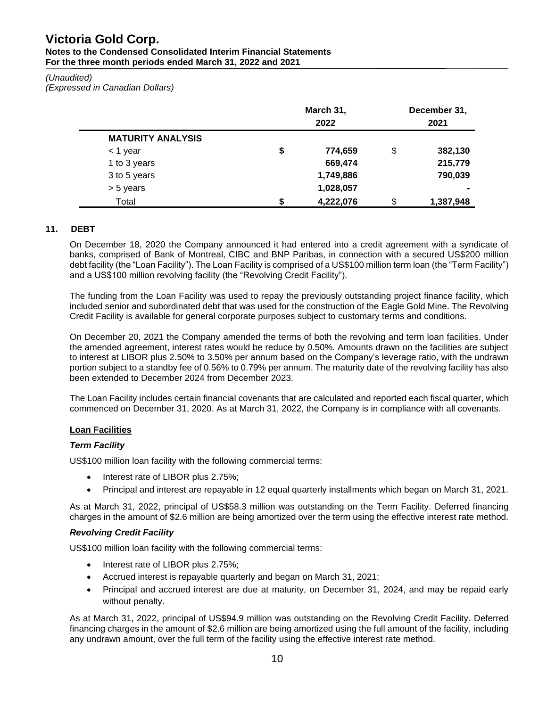# **Victoria Gold Corp.**

#### **Notes to the Condensed Consolidated Interim Financial Statements For the three month periods ended March 31, 2022 and 2021**

### *(Unaudited)*

*(Expressed in Canadian Dollars)*

|                          | March 31,<br>2022 | December 31,<br>2021 |                |  |  |
|--------------------------|-------------------|----------------------|----------------|--|--|
| <b>MATURITY ANALYSIS</b> |                   |                      |                |  |  |
| < 1 year                 | \$<br>774,659     | \$                   | 382,130        |  |  |
| 1 to 3 years             | 669,474           |                      | 215,779        |  |  |
| 3 to 5 years             | 1,749,886         |                      | 790,039        |  |  |
| > 5 years                | 1,028,057         |                      | $\blacksquare$ |  |  |
| Total                    | 4,222,076         | \$                   | 1,387,948      |  |  |

### **11. DEBT**

On December 18, 2020 the Company announced it had entered into a credit agreement with a syndicate of banks, comprised of Bank of Montreal, CIBC and BNP Paribas, in connection with a secured US\$200 million debt facility (the "Loan Facility"). The Loan Facility is comprised of a US\$100 million term loan (the "Term Facility") and a US\$100 million revolving facility (the "Revolving Credit Facility").

The funding from the Loan Facility was used to repay the previously outstanding project finance facility, which included senior and subordinated debt that was used for the construction of the Eagle Gold Mine. The Revolving Credit Facility is available for general corporate purposes subject to customary terms and conditions.

On December 20, 2021 the Company amended the terms of both the revolving and term loan facilities. Under the amended agreement, interest rates would be reduce by 0.50%. Amounts drawn on the facilities are subject to interest at LIBOR plus 2.50% to 3.50% per annum based on the Company's leverage ratio, with the undrawn portion subject to a standby fee of 0.56% to 0.79% per annum. The maturity date of the revolving facility has also been extended to December 2024 from December 2023.

The Loan Facility includes certain financial covenants that are calculated and reported each fiscal quarter, which commenced on December 31, 2020. As at March 31, 2022, the Company is in compliance with all covenants.

### **Loan Facilities**

### *Term Facility*

US\$100 million loan facility with the following commercial terms:

- Interest rate of LIBOR plus 2.75%;
- Principal and interest are repayable in 12 equal quarterly installments which began on March 31, 2021.

As at March 31, 2022, principal of US\$58.3 million was outstanding on the Term Facility. Deferred financing charges in the amount of \$2.6 million are being amortized over the term using the effective interest rate method.

### *Revolving Credit Facility*

US\$100 million loan facility with the following commercial terms:

- Interest rate of LIBOR plus 2.75%;
- Accrued interest is repayable quarterly and began on March 31, 2021;
- Principal and accrued interest are due at maturity, on December 31, 2024, and may be repaid early without penalty.

As at March 31, 2022, principal of US\$94.9 million was outstanding on the Revolving Credit Facility. Deferred financing charges in the amount of \$2.6 million are being amortized using the full amount of the facility, including any undrawn amount, over the full term of the facility using the effective interest rate method.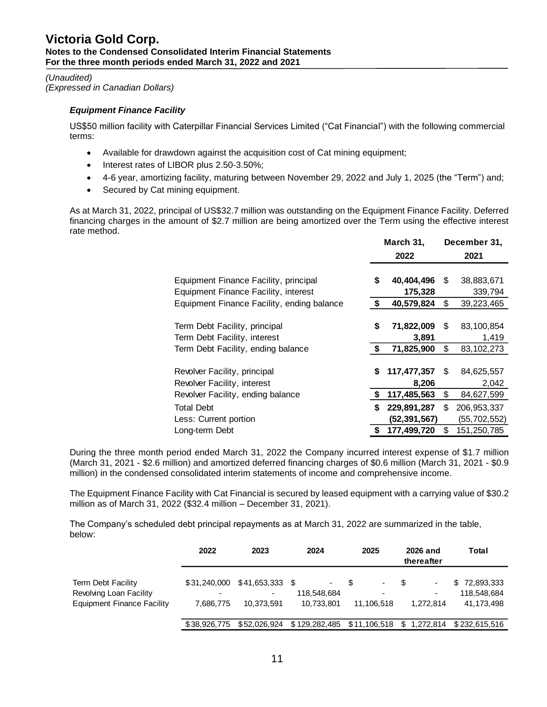### *(Unaudited) (Expressed in Canadian Dollars)*

# *Equipment Finance Facility*

US\$50 million facility with Caterpillar Financial Services Limited ("Cat Financial") with the following commercial terms:

- Available for drawdown against the acquisition cost of Cat mining equipment;
- Interest rates of LIBOR plus 2.50-3.50%;
- 4-6 year, amortizing facility, maturing between November 29, 2022 and July 1, 2025 (the "Term") and;
- Secured by Cat mining equipment.

As at March 31, 2022, principal of US\$32.7 million was outstanding on the Equipment Finance Facility. Deferred financing charges in the amount of \$2.7 million are being amortized over the Term using the effective interest rate method.

| March 31, |                |     | December 31,   |
|-----------|----------------|-----|----------------|
|           | 2022           |     | 2021           |
|           |                |     |                |
| \$        | 40,404,496     | S   | 38,883,671     |
|           | 175,328        |     | 339,794        |
| \$        | 40,579,824     | \$  | 39,223,465     |
|           |                |     |                |
| \$        | 71,822,009     | \$. | 83,100,854     |
|           | 3,891          |     | 1,419          |
| \$        | 71,825,900     | \$  | 83, 102, 273   |
|           |                |     |                |
| \$        | 117,477,357    | \$. | 84,625,557     |
|           | 8,206          |     | 2,042          |
| \$        | 117,485,563    | \$  | 84,627,599     |
| S         | 229,891,287    | S   | 206, 953, 337  |
|           | (52, 391, 567) |     | (55, 702, 552) |
|           | 177,499,720    | S   | 151,250,785    |
|           |                |     |                |

During the three month period ended March 31, 2022 the Company incurred interest expense of \$1.7 million (March 31, 2021 - \$2.6 million) and amortized deferred financing charges of \$0.6 million (March 31, 2021 - \$0.9 million) in the condensed consolidated interim statements of income and comprehensive income.

The Equipment Finance Facility with Cat Financial is secured by leased equipment with a carrying value of \$30.2 million as of March 31, 2022 (\$32.4 million – December 31, 2021).

The Company's scheduled debt principal repayments as at March 31, 2022 are summarized in the table, below:

|                                                                                    | 2022                                  | 2023                                            | 2024                                                              | 2025                 | 2026 and<br>thereafter                          | Total                                     |
|------------------------------------------------------------------------------------|---------------------------------------|-------------------------------------------------|-------------------------------------------------------------------|----------------------|-------------------------------------------------|-------------------------------------------|
| Term Debt Facility<br>Revolving Loan Facility<br><b>Equipment Finance Facility</b> | $\overline{\phantom{0}}$<br>7.686.775 | \$31,240,000 \$41,653,333 \$<br>٠<br>10.373.591 | ٠<br>118.548.684<br>10,733,801                                    | ۰<br>٠<br>11.106.518 | S<br>$\overline{\phantom{a}}$<br>-<br>1.272.814 | \$72,893,333<br>118.548.684<br>41,173,498 |
|                                                                                    | \$38,926,775                          |                                                 | \$52,026,924 \$129,282,485 \$11,106,518 \$1,272,814 \$232,615,516 |                      |                                                 |                                           |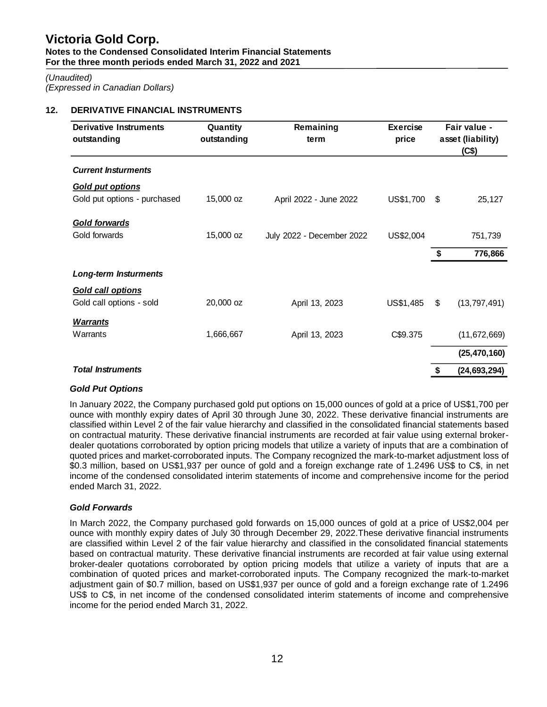# *(Unaudited)*

*(Expressed in Canadian Dollars)*

# **12. DERIVATIVE FINANCIAL INSTRUMENTS**

| <b>Derivative Instruments</b><br>outstanding | Quantity<br>outstanding | Remaining<br><b>Exercise</b><br>price<br>term |           |       | Fair value -<br>asset (liability)<br>(C\$) |
|----------------------------------------------|-------------------------|-----------------------------------------------|-----------|-------|--------------------------------------------|
| <b>Current Insturments</b>                   |                         |                                               |           |       |                                            |
| <b>Gold put options</b>                      |                         |                                               |           |       |                                            |
| Gold put options - purchased                 | 15,000 oz               | April 2022 - June 2022                        | US\$1,700 | \$    | 25,127                                     |
| <b>Gold forwards</b>                         |                         |                                               |           |       |                                            |
| Gold forwards                                | 15,000 oz               | July 2022 - December 2022                     | US\$2,004 |       | 751,739                                    |
|                                              |                         |                                               |           | \$    | 776,866                                    |
| <b>Long-term Insturments</b>                 |                         |                                               |           |       |                                            |
| <b>Gold call options</b>                     |                         |                                               |           |       |                                            |
| Gold call options - sold                     | 20,000 oz               | April 13, 2023                                | US\$1,485 | $\$\$ | (13, 797, 491)                             |
| <b>Warrants</b>                              |                         |                                               |           |       |                                            |
| Warrants                                     | 1,666,667               | April 13, 2023                                | C\$9.375  |       | (11, 672, 669)                             |
|                                              |                         |                                               |           |       | (25, 470, 160)                             |
| <b>Total Instruments</b>                     |                         |                                               |           | \$    | (24, 693, 294)                             |

## *Gold Put Options*

In January 2022, the Company purchased gold put options on 15,000 ounces of gold at a price of US\$1,700 per ounce with monthly expiry dates of April 30 through June 30, 2022. These derivative financial instruments are classified within Level 2 of the fair value hierarchy and classified in the consolidated financial statements based on contractual maturity. These derivative financial instruments are recorded at fair value using external brokerdealer quotations corroborated by option pricing models that utilize a variety of inputs that are a combination of quoted prices and market-corroborated inputs. The Company recognized the mark-to-market adjustment loss of \$0.3 million, based on US\$1,937 per ounce of gold and a foreign exchange rate of 1.2496 US\$ to C\$, in net income of the condensed consolidated interim statements of income and comprehensive income for the period ended March 31, 2022.

## *Gold Forwards*

In March 2022, the Company purchased gold forwards on 15,000 ounces of gold at a price of US\$2,004 per ounce with monthly expiry dates of July 30 through December 29, 2022.These derivative financial instruments are classified within Level 2 of the fair value hierarchy and classified in the consolidated financial statements based on contractual maturity. These derivative financial instruments are recorded at fair value using external broker-dealer quotations corroborated by option pricing models that utilize a variety of inputs that are a combination of quoted prices and market-corroborated inputs. The Company recognized the mark-to-market adjustment gain of \$0.7 million, based on US\$1,937 per ounce of gold and a foreign exchange rate of 1.2496 US\$ to C\$, in net income of the condensed consolidated interim statements of income and comprehensive income for the period ended March 31, 2022.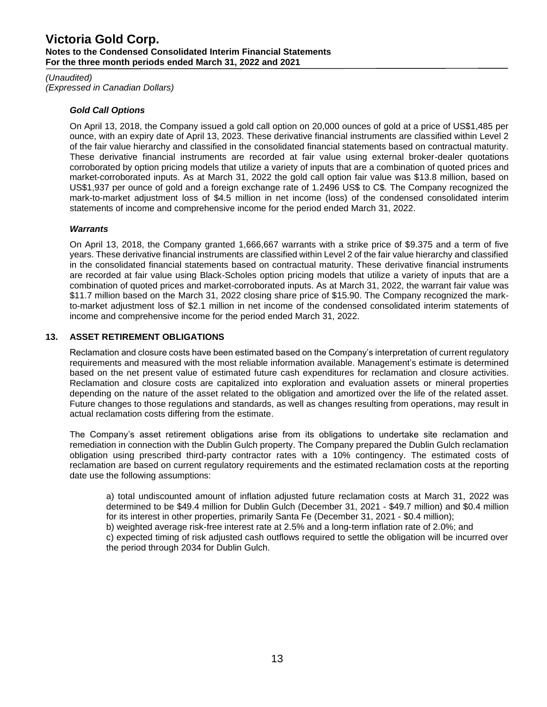#### *(Unaudited)*

*(Expressed in Canadian Dollars)*

### *Gold Call Options*

On April 13, 2018, the Company issued a gold call option on 20,000 ounces of gold at a price of US\$1,485 per ounce, with an expiry date of April 13, 2023. These derivative financial instruments are classified within Level 2 of the fair value hierarchy and classified in the consolidated financial statements based on contractual maturity. These derivative financial instruments are recorded at fair value using external broker-dealer quotations corroborated by option pricing models that utilize a variety of inputs that are a combination of quoted prices and market-corroborated inputs. As at March 31, 2022 the gold call option fair value was \$13.8 million, based on US\$1,937 per ounce of gold and a foreign exchange rate of 1.2496 US\$ to C\$. The Company recognized the mark-to-market adjustment loss of \$4.5 million in net income (loss) of the condensed consolidated interim statements of income and comprehensive income for the period ended March 31, 2022.

### *Warrants*

On April 13, 2018, the Company granted 1,666,667 warrants with a strike price of \$9.375 and a term of five years. These derivative financial instruments are classified within Level 2 of the fair value hierarchy and classified in the consolidated financial statements based on contractual maturity. These derivative financial instruments are recorded at fair value using Black-Scholes option pricing models that utilize a variety of inputs that are a combination of quoted prices and market-corroborated inputs. As at March 31, 2022, the warrant fair value was \$11.7 million based on the March 31, 2022 closing share price of \$15.90. The Company recognized the markto-market adjustment loss of \$2.1 million in net income of the condensed consolidated interim statements of income and comprehensive income for the period ended March 31, 2022.

### **13. ASSET RETIREMENT OBLIGATIONS**

Reclamation and closure costs have been estimated based on the Company's interpretation of current regulatory requirements and measured with the most reliable information available. Management's estimate is determined based on the net present value of estimated future cash expenditures for reclamation and closure activities. Reclamation and closure costs are capitalized into exploration and evaluation assets or mineral properties depending on the nature of the asset related to the obligation and amortized over the life of the related asset. Future changes to those regulations and standards, as well as changes resulting from operations, may result in actual reclamation costs differing from the estimate.

The Company's asset retirement obligations arise from its obligations to undertake site reclamation and remediation in connection with the Dublin Gulch property. The Company prepared the Dublin Gulch reclamation obligation using prescribed third-party contractor rates with a 10% contingency. The estimated costs of reclamation are based on current regulatory requirements and the estimated reclamation costs at the reporting date use the following assumptions:

a) total undiscounted amount of inflation adjusted future reclamation costs at March 31, 2022 was determined to be \$49.4 million for Dublin Gulch (December 31, 2021 - \$49.7 million) and \$0.4 million for its interest in other properties, primarily Santa Fe (December 31, 2021 - \$0.4 million); b) weighted average risk-free interest rate at 2.5% and a long-term inflation rate of 2.0%; and c) expected timing of risk adjusted cash outflows required to settle the obligation will be incurred over the period through 2034 for Dublin Gulch.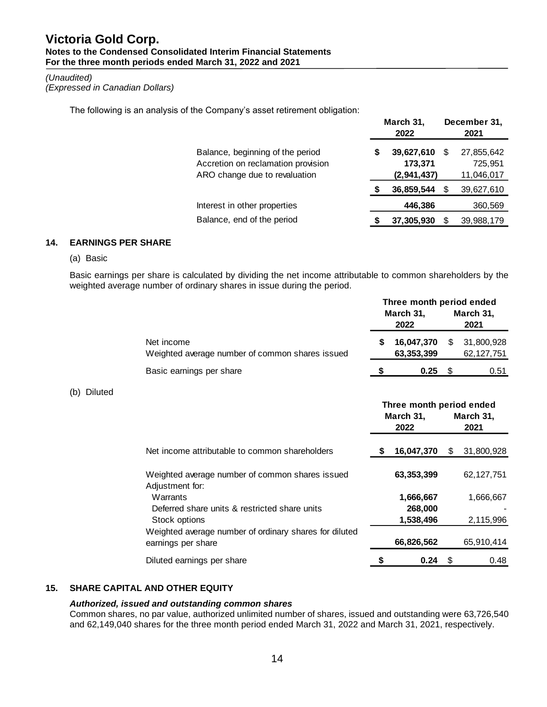#### *(Unaudited)*

*(Expressed in Canadian Dollars)*

The following is an analysis of the Company's asset retirement obligation:

|                                                                                                         | March 31,<br>2022 |                                      |   | December 31,<br>2021                |
|---------------------------------------------------------------------------------------------------------|-------------------|--------------------------------------|---|-------------------------------------|
| Balance, beginning of the period<br>Accretion on reclamation provision<br>ARO change due to revaluation | S                 | 39,627,610<br>173,371<br>(2,941,437) | S | 27,855,642<br>725,951<br>11,046,017 |
|                                                                                                         |                   | 36,859,544                           |   | 39,627,610                          |
| Interest in other properties                                                                            |                   | 446,386                              |   | 360,569                             |
| Balance, end of the period                                                                              |                   | 37,305,930                           |   | 39,988,179                          |
|                                                                                                         |                   |                                      |   |                                     |

### **14. EARNINGS PER SHARE**

(a) Basic

Basic earnings per share is calculated by dividing the net income attributable to common shareholders by the weighted average number of ordinary shares in issue during the period.

|                       |                                                                              |    | Three month period ended<br>March 31,<br>2022 |    | March 31,<br>2021          |
|-----------------------|------------------------------------------------------------------------------|----|-----------------------------------------------|----|----------------------------|
|                       | Net income<br>Weighted average number of common shares issued                | \$ | 16,047,370<br>63,353,399                      | \$ | 31,800,928<br>62, 127, 751 |
|                       | Basic earnings per share                                                     | S  | 0.25                                          | \$ | 0.51                       |
| <b>Diluted</b><br>(b) |                                                                              |    |                                               |    |                            |
|                       |                                                                              |    | Three month period ended<br>March 31,<br>2022 |    | March 31,<br>2021          |
|                       | Net income attributable to common shareholders                               |    | 16,047,370                                    | S  | 31,800,928                 |
|                       | Weighted average number of common shares issued<br>Adjustment for:           |    | 63,353,399                                    |    | 62,127,751                 |
|                       | Warrants<br>Deferred share units & restricted share units                    |    | 1,666,667<br>268,000                          |    | 1,666,667                  |
|                       | Stock options                                                                |    | 1,538,496                                     |    | 2,115,996                  |
|                       | Weighted average number of ordinary shares for diluted<br>earnings per share |    | 66,826,562                                    |    | 65,910,414                 |
|                       | Diluted earnings per share                                                   | S  | 0.24                                          | \$ | 0.48                       |

## **15. SHARE CAPITAL AND OTHER EQUITY**

#### *Authorized, issued and outstanding common shares*

Common shares, no par value, authorized unlimited number of shares, issued and outstanding were 63,726,540 and 62,149,040 shares for the three month period ended March 31, 2022 and March 31, 2021, respectively.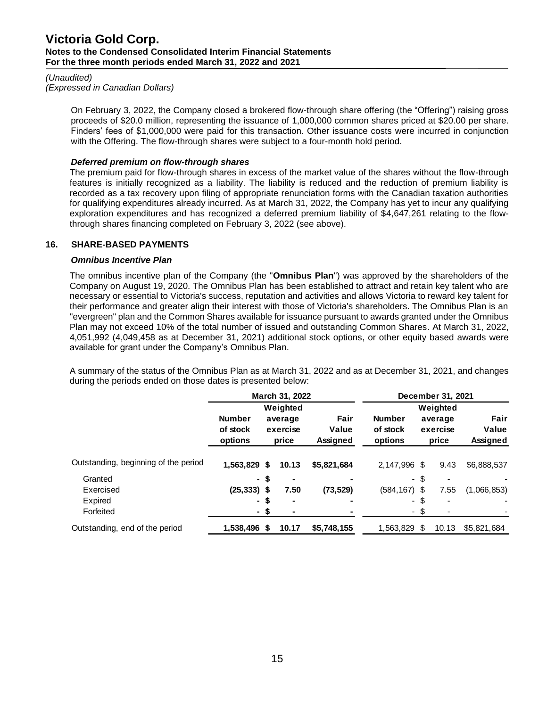#### *(Unaudited)*

*(Expressed in Canadian Dollars)*

On February 3, 2022, the Company closed a brokered flow-through share offering (the "Offering") raising gross proceeds of \$20.0 million, representing the issuance of 1,000,000 common shares priced at \$20.00 per share. Finders' fees of \$1,000,000 were paid for this transaction. Other issuance costs were incurred in conjunction with the Offering. The flow-through shares were subject to a four-month hold period.

### *Deferred premium on flow-through shares*

The premium paid for flow-through shares in excess of the market value of the shares without the flow-through features is initially recognized as a liability. The liability is reduced and the reduction of premium liability is recorded as a tax recovery upon filing of appropriate renunciation forms with the Canadian taxation authorities for qualifying expenditures already incurred. As at March 31, 2022, the Company has yet to incur any qualifying exploration expenditures and has recognized a deferred premium liability of \$4,647,261 relating to the flowthrough shares financing completed on February 3, 2022 (see above).

### **16. SHARE-BASED PAYMENTS**

### *Omnibus Incentive Plan*

The omnibus incentive plan of the Company (the "**Omnibus Plan**") was approved by the shareholders of the Company on August 19, 2020. The Omnibus Plan has been established to attract and retain key talent who are necessary or essential to Victoria's success, reputation and activities and allows Victoria to reward key talent for their performance and greater align their interest with those of Victoria's shareholders. The Omnibus Plan is an "evergreen" plan and the Common Shares available for issuance pursuant to awards granted under the Omnibus Plan may not exceed 10% of the total number of issued and outstanding Common Shares. At March 31, 2022, 4,051,992 (4,049,458 as at December 31, 2021) additional stock options, or other equity based awards were available for grant under the Company's Omnibus Plan.

A summary of the status of the Omnibus Plan as at March 31, 2022 and as at December 31, 2021, and changes during the periods ended on those dates is presented below:

|                                      |                                      | March 31, 2022 |                                                                                                   | December 31, 2021 |                              |                           |                          |             |
|--------------------------------------|--------------------------------------|----------------|---------------------------------------------------------------------------------------------------|-------------------|------------------------------|---------------------------|--------------------------|-------------|
|                                      |                                      |                | Weighted                                                                                          |                   | Weighted                     |                           |                          |             |
|                                      | <b>Number</b><br>of stock<br>options |                | Fair<br><b>Number</b><br>average<br>Value<br>of stock<br>exercise<br>Assigned<br>options<br>price |                   | average<br>exercise<br>price | Fair<br>Value<br>Assigned |                          |             |
| Outstanding, beginning of the period | 1.563.829 \$                         |                | 10.13                                                                                             | \$5,821,684       | 2.147.996 \$                 |                           | 9.43                     | \$6,888,537 |
| Granted                              |                                      | - \$           | ٠                                                                                                 |                   |                              | - \$                      | $\overline{\phantom{a}}$ |             |
| Exercised                            | $(25, 333)$ \$                       |                | 7.50                                                                                              | (73, 529)         | $(584, 167)$ \$              |                           | 7.55                     | (1,066,853) |
| Expired                              |                                      | - \$           | ٠                                                                                                 |                   |                              | - \$                      | $\blacksquare$           |             |
| Forfeited                            |                                      | - S            | ۰                                                                                                 |                   |                              | - \$                      | $\blacksquare$           |             |
| Outstanding, end of the period       | 1.538.496 \$                         |                | 10.17                                                                                             | \$5,748,155       | 1,563,829 \$                 |                           | 10.13                    | \$5,821,684 |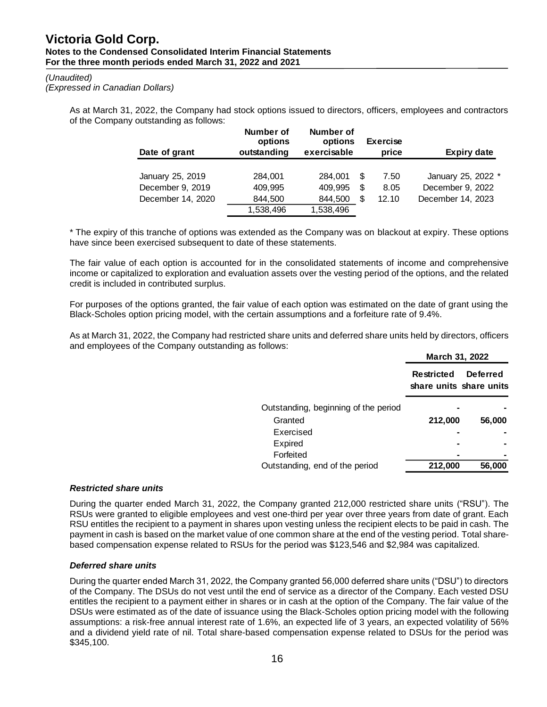#### *(Unaudited)*

*(Expressed in Canadian Dollars)*

As at March 31, 2022, the Company had stock options issued to directors, officers, employees and contractors of the Company outstanding as follows:

| Date of grant     | Number of<br>options<br>outstanding | Number of<br>options<br>exercisable |      | <b>Exercise</b><br>price | <b>Expiry date</b> |
|-------------------|-------------------------------------|-------------------------------------|------|--------------------------|--------------------|
|                   |                                     |                                     |      |                          |                    |
| January 25, 2019  | 284,001                             | 284.001                             | - \$ | 7.50                     | January 25, 2022 * |
| December 9, 2019  | 409.995                             | 409.995                             | -S   | 8.05                     | December 9, 2022   |
| December 14, 2020 | 844,500                             | 844,500                             | - \$ | 12.10                    | December 14, 2023  |
|                   | 1,538,496                           | 1,538,496                           |      |                          |                    |

\* The expiry of this tranche of options was extended as the Company was on blackout at expiry. These options have since been exercised subsequent to date of these statements.

The fair value of each option is accounted for in the consolidated statements of income and comprehensive income or capitalized to exploration and evaluation assets over the vesting period of the options, and the related credit is included in contributed surplus.

For purposes of the options granted, the fair value of each option was estimated on the date of grant using the Black-Scholes option pricing model, with the certain assumptions and a forfeiture rate of 9.4%.

As at March 31, 2022, the Company had restricted share units and deferred share units held by directors, officers and employees of the Company outstanding as follows:

|                                      | March 31, 2022                        |                 |  |  |  |
|--------------------------------------|---------------------------------------|-----------------|--|--|--|
|                                      | Restricted<br>share units share units | <b>Deferred</b> |  |  |  |
| Outstanding, beginning of the period |                                       |                 |  |  |  |
| Granted                              | 212,000                               | 56,000          |  |  |  |
| Exercised                            |                                       |                 |  |  |  |
| Expired                              |                                       |                 |  |  |  |
| Forfeited                            |                                       |                 |  |  |  |
| Outstanding, end of the period       | 212,000                               | 56,000          |  |  |  |

### *Restricted share units*

During the quarter ended March 31, 2022, the Company granted 212,000 restricted share units ("RSU"). The RSUs were granted to eligible employees and vest one-third per year over three years from date of grant. Each RSU entitles the recipient to a payment in shares upon vesting unless the recipient elects to be paid in cash. The payment in cash is based on the market value of one common share at the end of the vesting period. Total sharebased compensation expense related to RSUs for the period was \$123,546 and \$2,984 was capitalized.

### *Deferred share units*

During the quarter ended March 31, 2022, the Company granted 56,000 deferred share units ("DSU") to directors of the Company. The DSUs do not vest until the end of service as a director of the Company. Each vested DSU entitles the recipient to a payment either in shares or in cash at the option of the Company. The fair value of the DSUs were estimated as of the date of issuance using the Black-Scholes option pricing model with the following assumptions: a risk-free annual interest rate of 1.6%, an expected life of 3 years, an expected volatility of 56% and a dividend yield rate of nil. Total share-based compensation expense related to DSUs for the period was Number of Warber of Warber of Warber of Warber of Warber of Number of Number of Number of Number of Number of Number of Number of Number of Number of Number of Number of Number of Number of Number of Number of Number of Nu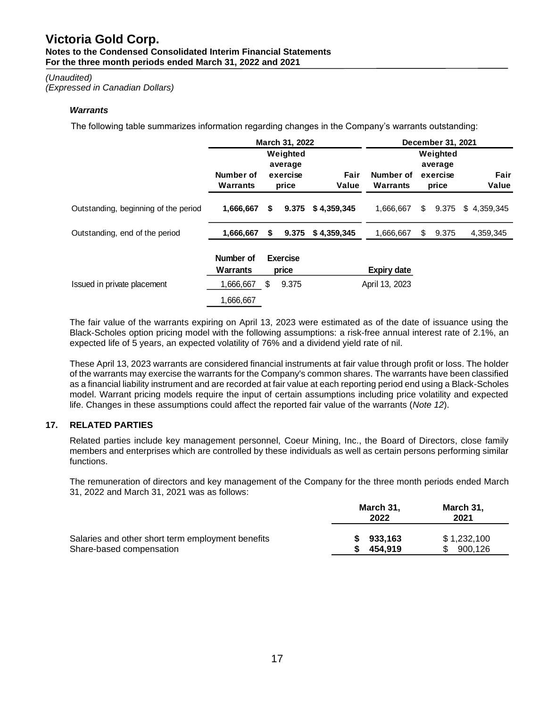#### *(Unaudited)*

*(Expressed in Canadian Dollars)*

### *Warrants*

The following table summarizes information regarding changes in the Company's warrants outstanding:

|                                      | March 31, 2022        |                          |                                          |               | December 31, 2021     |    |                                          |               |  |
|--------------------------------------|-----------------------|--------------------------|------------------------------------------|---------------|-----------------------|----|------------------------------------------|---------------|--|
|                                      | Number of<br>Warrants |                          | Weighted<br>average<br>exercise<br>price | Fair<br>Value | Number of<br>Warrants |    | Weighted<br>average<br>exercise<br>price | Fair<br>Value |  |
| Outstanding, beginning of the period | 1,666,667             | \$                       | 9.375                                    | \$4,359,345   | 1,666,667             | \$ | 9.375                                    | \$4,359,345   |  |
| Outstanding, end of the period       | 1,666,667             | \$                       | 9.375                                    | \$4,359,345   | 1,666,667             | S  | 9.375                                    | 4,359,345     |  |
|                                      | Number of<br>Warrants | <b>Exercise</b><br>price |                                          |               | <b>Expiry date</b>    |    |                                          |               |  |
| Issued in private placement          | 1,666,667             | \$                       | 9.375                                    |               | April 13, 2023        |    |                                          |               |  |
|                                      | 1.666.667             |                          |                                          |               |                       |    |                                          |               |  |

The fair value of the warrants expiring on April 13, 2023 were estimated as of the date of issuance using the Black-Scholes option pricing model with the following assumptions: a risk-free annual interest rate of 2.1%, an expected life of 5 years, an expected volatility of 76% and a dividend yield rate of nil.

These April 13, 2023 warrants are considered financial instruments at fair value through profit or loss. The holder of the warrants may exercise the warrants for the Company's common shares. The warrants have been classified as a financial liability instrument and are recorded at fair value at each reporting period end using a Black-Scholes model. Warrant pricing models require the input of certain assumptions including price volatility and expected life. Changes in these assumptions could affect the reported fair value of the warrants (*Note 12*).

## **17. RELATED PARTIES**

Related parties include key management personnel, Coeur Mining, Inc., the Board of Directors, close family members and enterprises which are controlled by these individuals as well as certain persons performing similar functions.

The remuneration of directors and key management of the Company for the three month periods ended March 31, 2022 and March 31, 2021 was as follows:

|                                                   | March 31.<br>2022 | March 31.<br>2021 |
|---------------------------------------------------|-------------------|-------------------|
| Salaries and other short term employment benefits | \$933.163         | \$1,232,100       |
| Share-based compensation                          | 454.919           | 900,126<br>\$.    |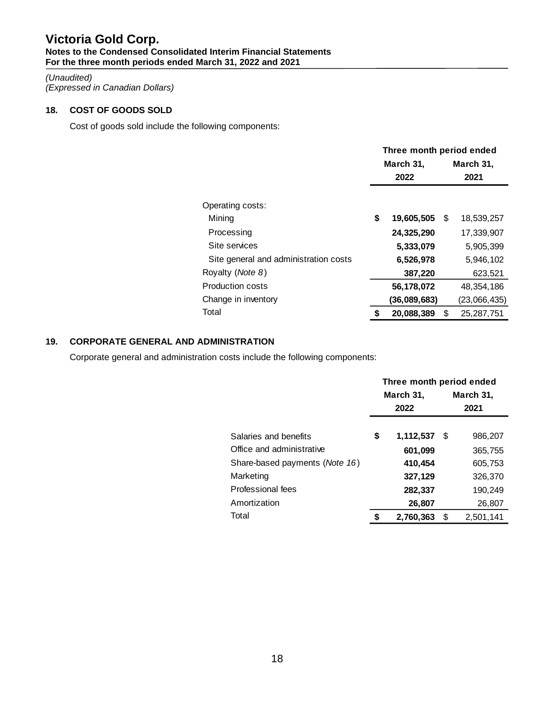#### *(Unaudited) (Expressed in Canadian Dollars)*

# **18. COST OF GOODS SOLD**

Cost of goods sold include the following components:

|                                       | Three month period ended |              |   |              |  |  |
|---------------------------------------|--------------------------|--------------|---|--------------|--|--|
|                                       |                          | March 31,    |   | March 31,    |  |  |
|                                       |                          | 2022         |   | 2021         |  |  |
|                                       |                          |              |   |              |  |  |
| Operating costs:                      |                          |              |   |              |  |  |
| Mining                                | \$                       | 19,605,505   | S | 18,539,257   |  |  |
| Processing                            |                          | 24,325,290   |   | 17.339.907   |  |  |
| Site services                         |                          | 5,333,079    |   | 5,905,399    |  |  |
| Site general and administration costs |                          | 6,526,978    |   | 5,946,102    |  |  |
| Royalty (Note 8)                      |                          | 387,220      |   | 623,521      |  |  |
| <b>Production costs</b>               |                          | 56,178,072   |   | 48,354,186   |  |  |
| Change in inventory                   |                          | (36,089,683) |   | (23,066,435) |  |  |
| Total                                 | S                        | 20.088.389   | S | 25.287.751   |  |  |

# **19. CORPORATE GENERAL AND ADMINISTRATION**

Corporate general and administration costs include the following components:

|                                         | Three month period ended |           |      |           |  |  |  |
|-----------------------------------------|--------------------------|-----------|------|-----------|--|--|--|
|                                         |                          | March 31, |      | March 31, |  |  |  |
|                                         |                          | 2022      | 2021 |           |  |  |  |
|                                         |                          |           |      |           |  |  |  |
| Salaries and benefits                   | \$                       | 1,112,537 | S    | 986,207   |  |  |  |
| Office and administrative               |                          | 601,099   |      | 365,755   |  |  |  |
| Share-based payments ( <i>Note 16</i> ) |                          | 410,454   |      | 605,753   |  |  |  |
| Marketing                               |                          | 327,129   |      | 326,370   |  |  |  |
| Professional fees                       |                          | 282,337   |      | 190,249   |  |  |  |
| Amortization                            |                          | 26,807    |      | 26,807    |  |  |  |
| Total                                   | S                        | 2,760,363 | S    | 2,501,141 |  |  |  |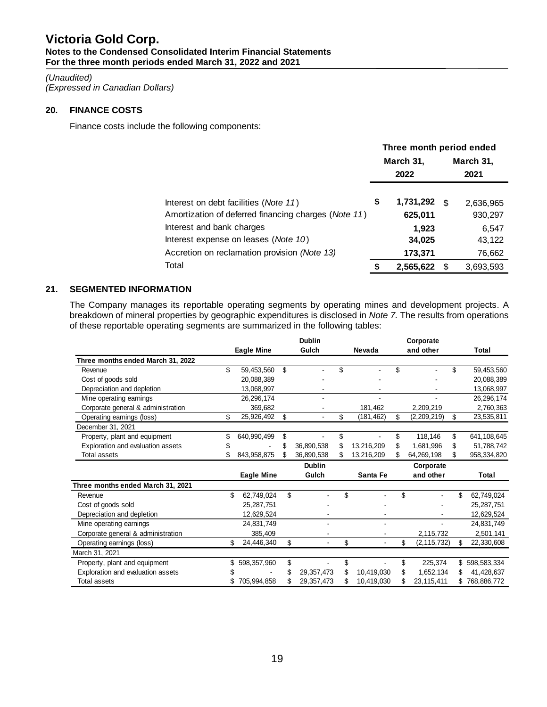# *(Unaudited)*

*(Expressed in Canadian Dollars)*

# **20. FINANCE COSTS**

Finance costs include the following components:

|                                                      | Three month period ended |           |    |           |  |  |
|------------------------------------------------------|--------------------------|-----------|----|-----------|--|--|
|                                                      |                          | March 31, |    | March 31, |  |  |
|                                                      | 2022                     |           |    | 2021      |  |  |
| Interest on debt facilities (Note 11)                | \$                       | 1,731,292 | £. | 2,636,965 |  |  |
| Amortization of deferred financing charges (Note 11) |                          | 625,011   |    | 930,297   |  |  |
| Interest and bank charges                            |                          | 1,923     |    | 6,547     |  |  |
| Interest expense on leases (Note 10)                 |                          | 34,025    |    | 43,122    |  |  |
| Accretion on reclamation provision (Note 13)         |                          | 173,371   |    | 76,662    |  |  |
| Total                                                |                          | 2,565,622 |    | 3,693,593 |  |  |

# **21. SEGMENTED INFORMATION**

The Company manages its reportable operating segments by operating mines and development projects. A breakdown of mineral properties by geographic expenditures is disclosed in *Note 7.* The results from operations of these reportable operating segments are summarized in the following tables:

|                                    |    |                   |    | <b>Dublin</b>  |                  |    | Corporate     |                   |
|------------------------------------|----|-------------------|----|----------------|------------------|----|---------------|-------------------|
|                                    |    | <b>Eagle Mine</b> |    | Gulch          | Nevada           |    | and other     | Total             |
| Three months ended March 31, 2022  |    |                   |    |                |                  |    |               |                   |
| Revenue                            | \$ | 59,453,560        | \$ |                | \$               | \$ |               | \$<br>59,453,560  |
| Cost of goods sold                 |    | 20,088,389        |    |                |                  |    |               | 20,088,389        |
| Depreciation and depletion         |    | 13,068,997        |    |                |                  |    |               | 13,068,997        |
| Mine operating earnings            |    | 26, 296, 174      |    |                |                  |    |               | 26,296,174        |
| Corporate general & administration |    | 369.682           |    |                | 181,462          |    | 2,209,219     | 2,760,363         |
| Operating earnings (loss)          | \$ | 25,926,492        | \$ | $\blacksquare$ | \$<br>(181, 462) | \$ | (2,209,219)   | \$<br>23,535,811  |
| December 31, 2021                  |    |                   |    |                |                  |    |               |                   |
| Property, plant and equipment      | \$ | 640,990,499       | \$ |                | \$               | \$ | 118,146       | \$<br>641,108,645 |
| Exploration and evaluation assets  | S  |                   | \$ | 36,890,538     | \$<br>13,216,209 |    | 1,681,996     | \$<br>51,788,742  |
| Total assets                       |    | 843,958,875       | S  | 36,890,538     | \$<br>13,216,209 | S  | 64,269,198    | 958,334,820       |
|                                    |    |                   |    | <b>Dublin</b>  |                  |    | Corporate     |                   |
|                                    |    | Eagle Mine        |    | Gulch          | Santa Fe         |    | and other     | Total             |
| Three months ended March 31, 2021  |    |                   |    |                |                  |    |               |                   |
| Revenue                            | \$ | 62,749,024        | \$ |                | \$               | \$ |               | \$<br>62,749,024  |
| Cost of goods sold                 |    | 25,287,751        |    |                |                  |    |               | 25,287,751        |
| Depreciation and depletion         |    | 12,629,524        |    |                |                  |    |               | 12,629,524        |
| Mine operating earnings            |    | 24,831,749        |    |                |                  |    |               | 24,831,749        |
| Corporate general & administration |    | 385,409           |    |                |                  |    | 2,115,732     | 2,501,141         |
| Operating earnings (loss)          | \$ | 24,446,340        | \$ |                | \$               | \$ | (2, 115, 732) | \$<br>22,330,608  |
| March 31, 2021                     |    |                   |    |                |                  |    |               |                   |
| Property, plant and equipment      | \$ | 598,357,960       | \$ |                | \$               | \$ | 225,374       | \$<br>598,583,334 |
| Exploration and evaluation assets  |    |                   | S  | 29,357,473     | 10,419,030       | \$ | 1,652,134     | \$<br>41,428,637  |
| <b>Total assets</b>                |    | 705,994,858       |    | 29,357,473     | 10,419,030       |    | 23,115,411    | 768,886,772       |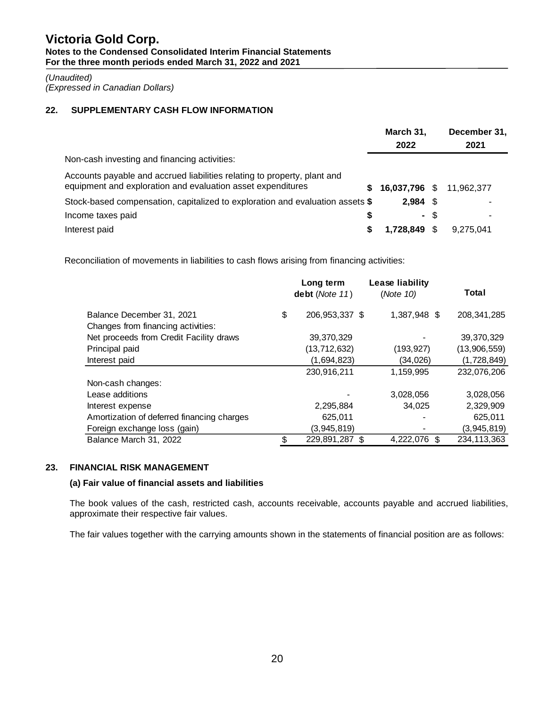*(Unaudited) (Expressed in Canadian Dollars)*

# **22. SUPPLEMENTARY CASH FLOW INFORMATION**

|                                                                                                                                         | March 31,     |      | December 31, |  |
|-----------------------------------------------------------------------------------------------------------------------------------------|---------------|------|--------------|--|
|                                                                                                                                         | 2022          |      | 2021         |  |
| Non-cash investing and financing activities:                                                                                            |               |      |              |  |
| Accounts payable and accrued liabilities relating to property, plant and<br>equipment and exploration and evaluation asset expenditures |               |      | 11.962.377   |  |
| S.                                                                                                                                      | 16,037,796 \$ |      |              |  |
| Stock-based compensation, capitalized to exploration and evaluation assets \$                                                           | $2.984$ \$    |      |              |  |
| Income taxes paid<br>S                                                                                                                  |               | - \$ |              |  |
| Interest paid                                                                                                                           | 1.728.849     | S.   | 9.275.041    |  |

Reconciliation of movements in liabilities to cash flows arising from financing activities:

|                                                                 | Long term<br>debt (Note 11) | Lease liability<br>(Note 10) | Total                |  |
|-----------------------------------------------------------------|-----------------------------|------------------------------|----------------------|--|
| Balance December 31, 2021<br>Changes from financing activities: | \$<br>206, 953, 337 \$      | 1,387,948 \$                 | 208, 341, 285        |  |
| Net proceeds from Credit Facility draws                         | 39,370,329                  |                              | 39,370,329           |  |
| Principal paid                                                  | (13, 712, 632)              | (193, 927)                   | (13,906,559)         |  |
| Interest paid                                                   | (1,694,823)                 | (34,026)                     | (1,728,849)          |  |
|                                                                 | 230,916,211                 | 1,159,995                    | 232,076,206          |  |
| Non-cash changes:                                               |                             |                              |                      |  |
| Lease additions                                                 |                             | 3,028,056                    | 3,028,056            |  |
| Interest expense                                                | 2,295,884                   | 34.025                       | 2,329,909            |  |
| Amortization of deferred financing charges                      | 625,011                     |                              | 625,011              |  |
| Foreign exchange loss (gain)                                    | (3,945,819)                 |                              | (3,945,819)          |  |
| Balance March 31, 2022                                          | 229,891,287 \$              | 4,222,076                    | 234, 113, 363<br>\$. |  |

## **23. FINANCIAL RISK MANAGEMENT**

## **(a) Fair value of financial assets and liabilities**

The book values of the cash, restricted cash, accounts receivable, accounts payable and accrued liabilities, approximate their respective fair values.

The fair values together with the carrying amounts shown in the statements of financial position are as follows: